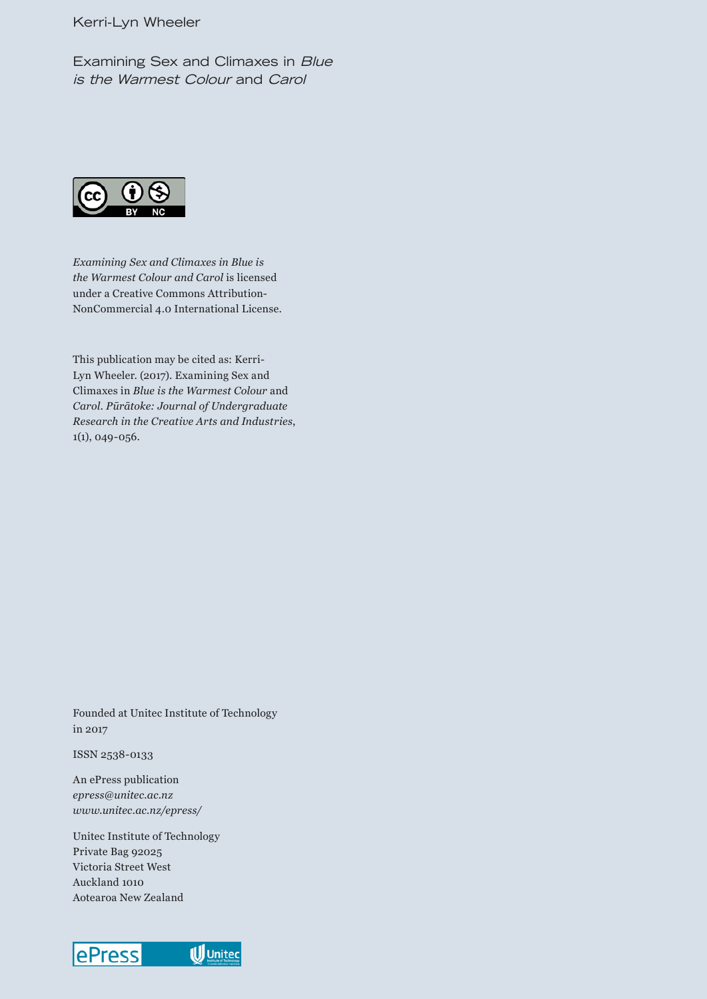#### Kerri-Lyn Wheeler

Examining Sex and Climaxes in *Blue is the Warmest Colour* and *Carol*



*Examining Sex and Climaxes in Blue is the Warmest Colour and Carol* is licensed under a Creative Commons Attribution-NonCommercial 4.0 International License.

This publication may be cited as: Kerri-Lyn Wheeler. (2017). Examining Sex and Climaxes in *Blue is the Warmest Colour* and *Carol*. *Pūrātoke: Journal of Undergraduate Research in the Creative Arts and Industries*, 1(1), 049-056.

Founded at Unitec Institute of Technology in 2017

ISSN 2538-0133

An ePress publication *epress@unitec.ac.nz www.unitec.ac.nz/epress/*

Unitec Institute of Technology Private Bag 92025 Victoria Street West Auckland 1010 Aotearoa New Zealand

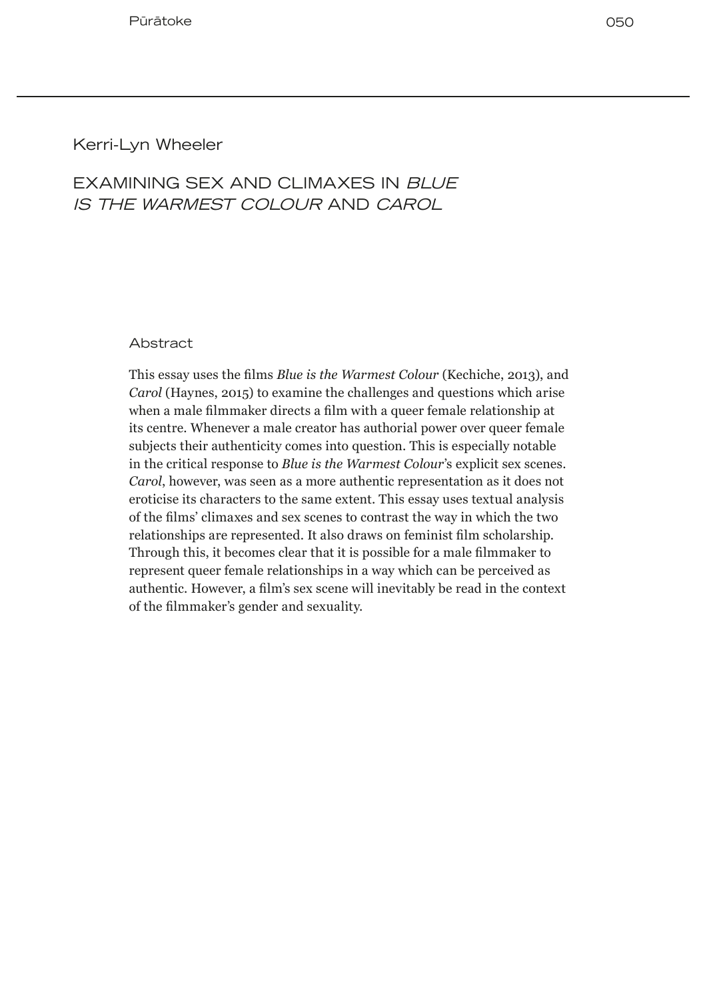# Kerri-Lyn Wheeler

# EXAMINING SEX AND CLIMAXES IN *BLUE IS THE WARMEST COLOUR* AND *CAROL*

#### Abstract

This essay uses the films *Blue is the Warmest Colour* (Kechiche, 2013), and *Carol* (Haynes, 2015) to examine the challenges and questions which arise when a male filmmaker directs a film with a queer female relationship at its centre. Whenever a male creator has authorial power over queer female subjects their authenticity comes into question. This is especially notable in the critical response to *Blue is the Warmest Colour*'s explicit sex scenes. *Carol*, however, was seen as a more authentic representation as it does not eroticise its characters to the same extent. This essay uses textual analysis of the films' climaxes and sex scenes to contrast the way in which the two relationships are represented. It also draws on feminist film scholarship. Through this, it becomes clear that it is possible for a male filmmaker to represent queer female relationships in a way which can be perceived as authentic. However, a film's sex scene will inevitably be read in the context of the filmmaker's gender and sexuality.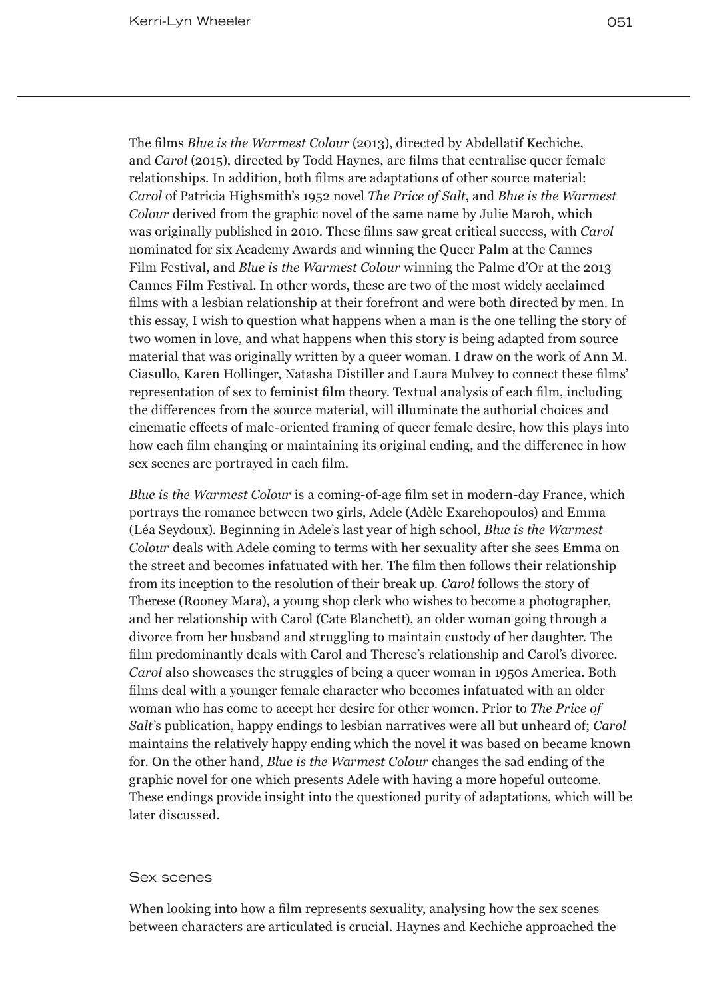The films *Blue is the Warmest Colour* (2013), directed by Abdellatif Kechiche, and *Carol* (2015), directed by Todd Haynes, are films that centralise queer female relationships. In addition, both films are adaptations of other source material: *Carol* of Patricia Highsmith's 1952 novel *The Price of Salt*, and *Blue is the Warmest Colour* derived from the graphic novel of the same name by Julie Maroh, which was originally published in 2010. These films saw great critical success, with *Carol* nominated for six Academy Awards and winning the Queer Palm at the Cannes Film Festival, and *Blue is the Warmest Colour* winning the Palme d'Or at the 2013 Cannes Film Festival. In other words, these are two of the most widely acclaimed films with a lesbian relationship at their forefront and were both directed by men. In this essay, I wish to question what happens when a man is the one telling the story of two women in love, and what happens when this story is being adapted from source material that was originally written by a queer woman. I draw on the work of Ann M. Ciasullo, Karen Hollinger, Natasha Distiller and Laura Mulvey to connect these films' representation of sex to feminist film theory. Textual analysis of each film, including the differences from the source material, will illuminate the authorial choices and cinematic effects of male-oriented framing of queer female desire, how this plays into how each film changing or maintaining its original ending, and the difference in how sex scenes are portrayed in each film.

*Blue is the Warmest Colour* is a coming-of-age film set in modern-day France, which portrays the romance between two girls, Adele (Adèle Exarchopoulos) and Emma (Léa Seydoux). Beginning in Adele's last year of high school, *Blue is the Warmest Colour* deals with Adele coming to terms with her sexuality after she sees Emma on the street and becomes infatuated with her. The film then follows their relationship from its inception to the resolution of their break up. *Carol* follows the story of Therese (Rooney Mara), a young shop clerk who wishes to become a photographer, and her relationship with Carol (Cate Blanchett), an older woman going through a divorce from her husband and struggling to maintain custody of her daughter. The film predominantly deals with Carol and Therese's relationship and Carol's divorce. *Carol* also showcases the struggles of being a queer woman in 1950s America. Both films deal with a younger female character who becomes infatuated with an older woman who has come to accept her desire for other women. Prior to *The Price of Salt*'s publication, happy endings to lesbian narratives were all but unheard of; *Carol*  maintains the relatively happy ending which the novel it was based on became known for. On the other hand, *Blue is the Warmest Colour* changes the sad ending of the graphic novel for one which presents Adele with having a more hopeful outcome. These endings provide insight into the questioned purity of adaptations, which will be later discussed.

### Sex scenes

When looking into how a film represents sexuality, analysing how the sex scenes between characters are articulated is crucial. Haynes and Kechiche approached the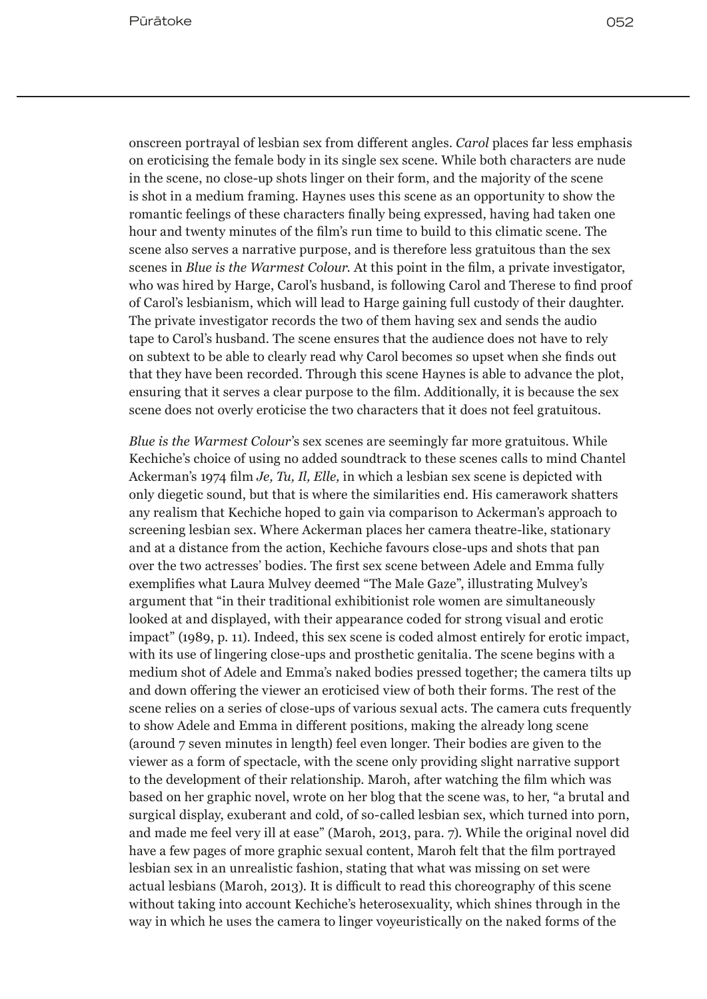onscreen portrayal of lesbian sex from different angles. *Carol* places far less emphasis on eroticising the female body in its single sex scene. While both characters are nude in the scene, no close-up shots linger on their form, and the majority of the scene is shot in a medium framing. Haynes uses this scene as an opportunity to show the romantic feelings of these characters finally being expressed, having had taken one hour and twenty minutes of the film's run time to build to this climatic scene. The scene also serves a narrative purpose, and is therefore less gratuitous than the sex scenes in *Blue is the Warmest Colour*. At this point in the film, a private investigator, who was hired by Harge, Carol's husband, is following Carol and Therese to find proof of Carol's lesbianism, which will lead to Harge gaining full custody of their daughter. The private investigator records the two of them having sex and sends the audio tape to Carol's husband. The scene ensures that the audience does not have to rely on subtext to be able to clearly read why Carol becomes so upset when she finds out that they have been recorded. Through this scene Haynes is able to advance the plot, ensuring that it serves a clear purpose to the film. Additionally, it is because the sex scene does not overly eroticise the two characters that it does not feel gratuitous.

*Blue is the Warmest Colour*'s sex scenes are seemingly far more gratuitous. While Kechiche's choice of using no added soundtrack to these scenes calls to mind Chantel Ackerman's 1974 film *Je, Tu, Il, Elle,* in which a lesbian sex scene is depicted with only diegetic sound, but that is where the similarities end. His camerawork shatters any realism that Kechiche hoped to gain via comparison to Ackerman's approach to screening lesbian sex. Where Ackerman places her camera theatre-like, stationary and at a distance from the action, Kechiche favours close-ups and shots that pan over the two actresses' bodies. The first sex scene between Adele and Emma fully exemplifies what Laura Mulvey deemed "The Male Gaze", illustrating Mulvey's argument that "in their traditional exhibitionist role women are simultaneously looked at and displayed, with their appearance coded for strong visual and erotic impact" (1989, p. 11). Indeed, this sex scene is coded almost entirely for erotic impact, with its use of lingering close-ups and prosthetic genitalia. The scene begins with a medium shot of Adele and Emma's naked bodies pressed together; the camera tilts up and down offering the viewer an eroticised view of both their forms. The rest of the scene relies on a series of close-ups of various sexual acts. The camera cuts frequently to show Adele and Emma in different positions, making the already long scene (around 7 seven minutes in length) feel even longer. Their bodies are given to the viewer as a form of spectacle, with the scene only providing slight narrative support to the development of their relationship. Maroh, after watching the film which was based on her graphic novel, wrote on her blog that the scene was, to her, "a brutal and surgical display, exuberant and cold, of so-called lesbian sex, which turned into porn, and made me feel very ill at ease" (Maroh, 2013, para. 7). While the original novel did have a few pages of more graphic sexual content, Maroh felt that the film portrayed lesbian sex in an unrealistic fashion, stating that what was missing on set were actual lesbians (Maroh, 2013). It is difficult to read this choreography of this scene without taking into account Kechiche's heterosexuality, which shines through in the way in which he uses the camera to linger voyeuristically on the naked forms of the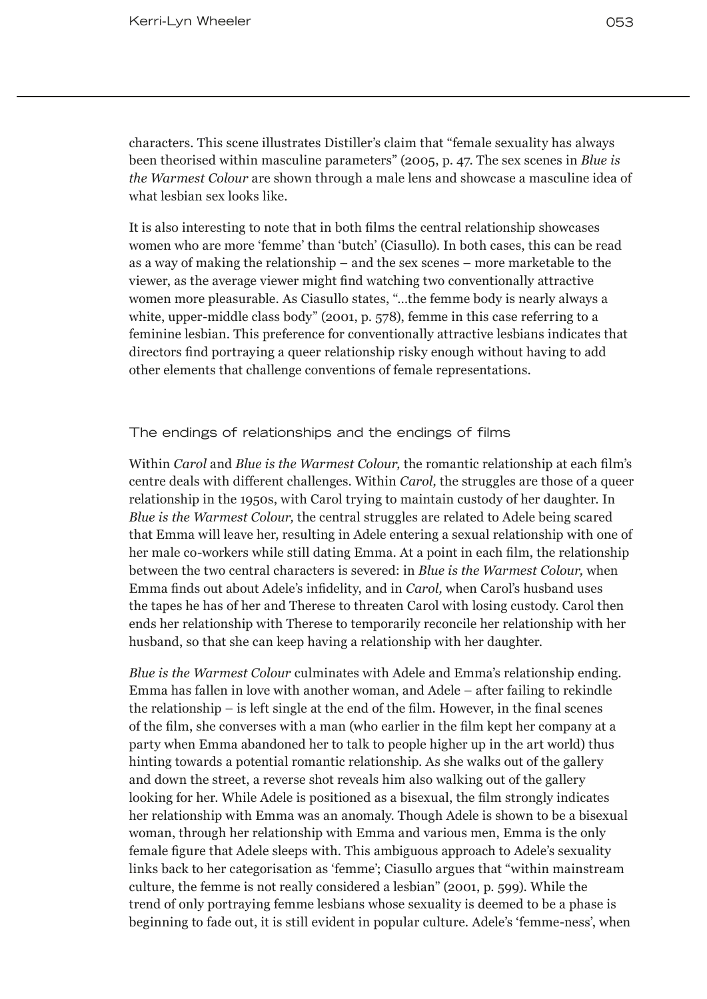characters. This scene illustrates Distiller's claim that "female sexuality has always been theorised within masculine parameters" (2005, p. 47. The sex scenes in *Blue is the Warmest Colour* are shown through a male lens and showcase a masculine idea of what lesbian sex looks like.

It is also interesting to note that in both films the central relationship showcases women who are more 'femme' than 'butch' (Ciasullo). In both cases, this can be read as a way of making the relationship – and the sex scenes – more marketable to the viewer, as the average viewer might find watching two conventionally attractive women more pleasurable. As Ciasullo states, "…the femme body is nearly always a white, upper-middle class body" (2001, p. 578), femme in this case referring to a feminine lesbian. This preference for conventionally attractive lesbians indicates that directors find portraying a queer relationship risky enough without having to add other elements that challenge conventions of female representations.

The endings of relationships and the endings of films

Within *Carol* and *Blue is the Warmest Colour,* the romantic relationship at each film's centre deals with different challenges. Within *Carol,* the struggles are those of a queer relationship in the 1950s, with Carol trying to maintain custody of her daughter. In *Blue is the Warmest Colour,* the central struggles are related to Adele being scared that Emma will leave her, resulting in Adele entering a sexual relationship with one of her male co-workers while still dating Emma. At a point in each film, the relationship between the two central characters is severed: in *Blue is the Warmest Colour,* when Emma finds out about Adele's infidelity, and in *Carol,* when Carol's husband uses the tapes he has of her and Therese to threaten Carol with losing custody. Carol then ends her relationship with Therese to temporarily reconcile her relationship with her husband, so that she can keep having a relationship with her daughter.

*Blue is the Warmest Colour* culminates with Adele and Emma's relationship ending. Emma has fallen in love with another woman, and Adele – after failing to rekindle the relationship – is left single at the end of the film. However, in the final scenes of the film, she converses with a man (who earlier in the film kept her company at a party when Emma abandoned her to talk to people higher up in the art world) thus hinting towards a potential romantic relationship. As she walks out of the gallery and down the street, a reverse shot reveals him also walking out of the gallery looking for her. While Adele is positioned as a bisexual, the film strongly indicates her relationship with Emma was an anomaly. Though Adele is shown to be a bisexual woman, through her relationship with Emma and various men, Emma is the only female figure that Adele sleeps with. This ambiguous approach to Adele's sexuality links back to her categorisation as 'femme'; Ciasullo argues that "within mainstream culture, the femme is not really considered a lesbian" (2001, p. 599). While the trend of only portraying femme lesbians whose sexuality is deemed to be a phase is beginning to fade out, it is still evident in popular culture. Adele's 'femme-ness', when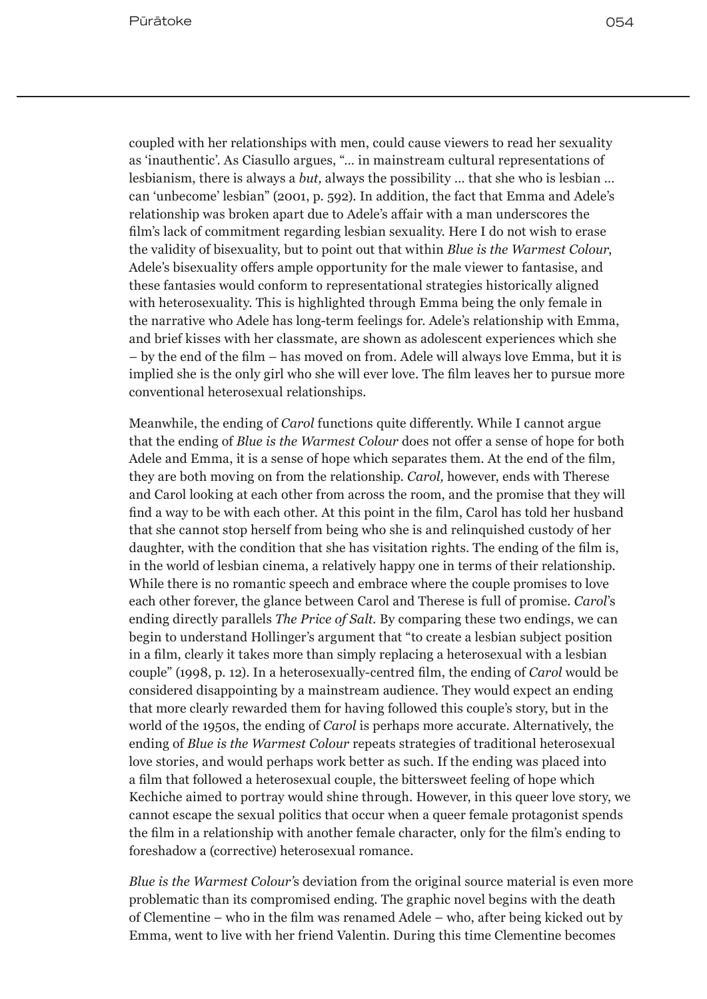coupled with her relationships with men, could cause viewers to read her sexuality as 'inauthentic'. As Ciasullo argues, "… in mainstream cultural representations of lesbianism, there is always a *but,* always the possibility … that she who is lesbian … can 'unbecome' lesbian" (2001, p. 592). In addition, the fact that Emma and Adele's relationship was broken apart due to Adele's affair with a man underscores the film's lack of commitment regarding lesbian sexuality. Here I do not wish to erase the validity of bisexuality, but to point out that within *Blue is the Warmest Colour*, Adele's bisexuality offers ample opportunity for the male viewer to fantasise, and these fantasies would conform to representational strategies historically aligned with heterosexuality. This is highlighted through Emma being the only female in the narrative who Adele has long-term feelings for. Adele's relationship with Emma, and brief kisses with her classmate, are shown as adolescent experiences which she – by the end of the film – has moved on from. Adele will always love Emma, but it is implied she is the only girl who she will ever love. The film leaves her to pursue more conventional heterosexual relationships.

Meanwhile, the ending of *Carol* functions quite differently. While I cannot argue that the ending of *Blue is the Warmest Colour* does not offer a sense of hope for both Adele and Emma, it is a sense of hope which separates them. At the end of the film, they are both moving on from the relationship. *Carol,* however, ends with Therese and Carol looking at each other from across the room, and the promise that they will find a way to be with each other. At this point in the film, Carol has told her husband that she cannot stop herself from being who she is and relinquished custody of her daughter, with the condition that she has visitation rights. The ending of the film is, in the world of lesbian cinema, a relatively happy one in terms of their relationship. While there is no romantic speech and embrace where the couple promises to love each other forever, the glance between Carol and Therese is full of promise. *Carol*'s ending directly parallels *The Price of Salt.* By comparing these two endings, we can begin to understand Hollinger's argument that "to create a lesbian subject position in a film, clearly it takes more than simply replacing a heterosexual with a lesbian couple" (1998, p. 12). In a heterosexually-centred film, the ending of *Carol* would be considered disappointing by a mainstream audience. They would expect an ending that more clearly rewarded them for having followed this couple's story, but in the world of the 1950s, the ending of *Carol* is perhaps more accurate. Alternatively, the ending of *Blue is the Warmest Colour* repeats strategies of traditional heterosexual love stories, and would perhaps work better as such. If the ending was placed into a film that followed a heterosexual couple, the bittersweet feeling of hope which Kechiche aimed to portray would shine through. However, in this queer love story, we cannot escape the sexual politics that occur when a queer female protagonist spends the film in a relationship with another female character, only for the film's ending to foreshadow a (corrective) heterosexual romance.

*Blue is the Warmest Colour'*s deviation from the original source material is even more problematic than its compromised ending. The graphic novel begins with the death of Clementine – who in the film was renamed Adele – who, after being kicked out by Emma, went to live with her friend Valentin. During this time Clementine becomes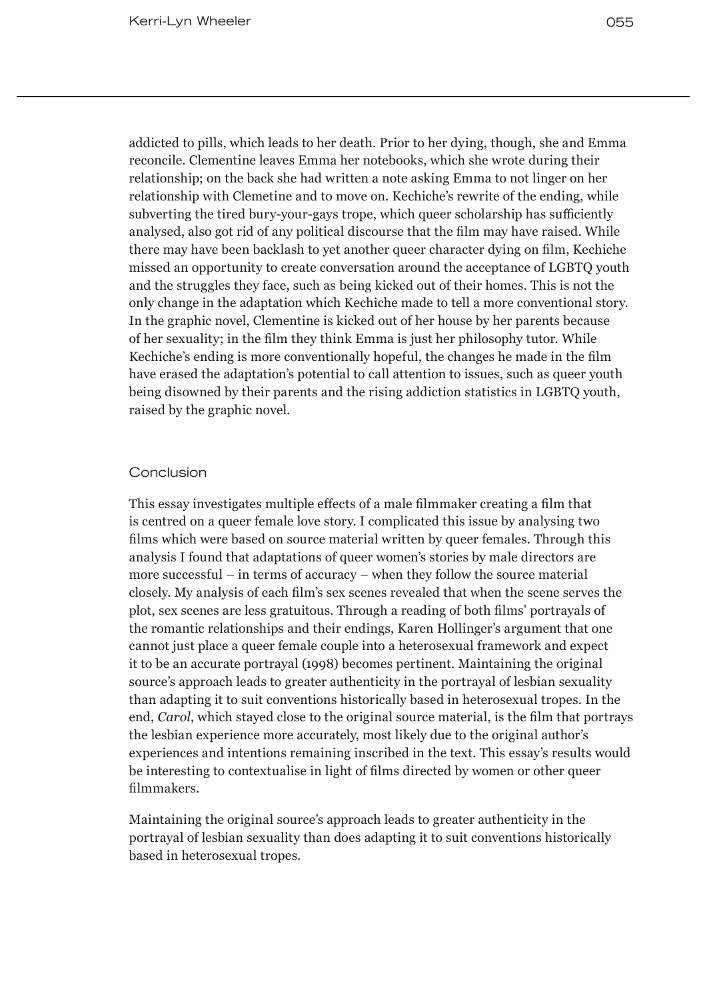addicted to pills, which leads to her death. Prior to her dying, though, she and Emma reconcile. Clementine leaves Emma her notebooks, which she wrote during their relationship; on the back she had written a note asking Emma to not linger on her relationship with Clemetine and to move on. Kechiche's rewrite of the ending, while subverting the tired bury-your-gays trope, which queer scholarship has sufficiently analysed, also got rid of any political discourse that the film may have raised. While there may have been backlash to yet another queer character dying on film, Kechiche missed an opportunity to create conversation around the acceptance of LGBTQ youth and the struggles they face, such as being kicked out of their homes. This is not the only change in the adaptation which Kechiche made to tell a more conventional story. In the graphic novel, Clementine is kicked out of her house by her parents because of her sexuality; in the film they think Emma is just her philosophy tutor. While Kechiche's ending is more conventionally hopeful, the changes he made in the film have erased the adaptation's potential to call attention to issues, such as queer youth being disowned by their parents and the rising addiction statistics in LGBTQ youth, raised by the graphic novel.

# **Conclusion**

This essay investigates multiple effects of a male filmmaker creating a film that is centred on a queer female love story. I complicated this issue by analysing two films which were based on source material written by queer females. Through this analysis I found that adaptations of queer women's stories by male directors are more successful – in terms of accuracy – when they follow the source material closely. My analysis of each film's sex scenes revealed that when the scene serves the plot, sex scenes are less gratuitous. Through a reading of both films' portrayals of the romantic relationships and their endings, Karen Hollinger's argument that one cannot just place a queer female couple into a heterosexual framework and expect it to be an accurate portrayal (1998) becomes pertinent. Maintaining the original source's approach leads to greater authenticity in the portrayal of lesbian sexuality than adapting it to suit conventions historically based in heterosexual tropes. In the end, *Carol*, which stayed close to the original source material, is the film that portrays the lesbian experience more accurately, most likely due to the original author's experiences and intentions remaining inscribed in the text. This essay's results would be interesting to contextualise in light of films directed by women or other queer filmmakers.

Maintaining the original source's approach leads to greater authenticity in the portrayal of lesbian sexuality than does adapting it to suit conventions historically based in heterosexual tropes.